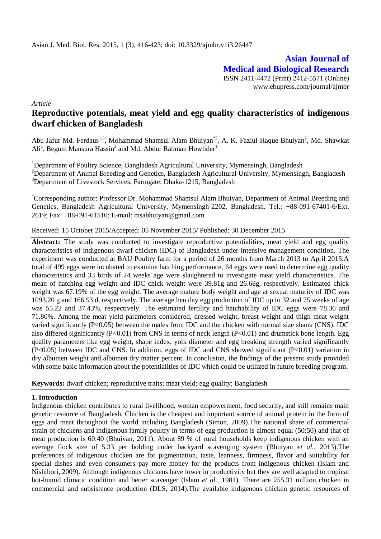**Asian Journal of Medical and Biological Research** ISSN 2411-4472 (Print) 2412-5571 (Online) www.ebupress.com/journal/ajmbr

*Article*

# **Reproductive potentials, meat yield and egg quality characteristics of indigenous dwarf chicken of Bangladesh**

Abu Jafur Md. Ferdaus<sup>1,3</sup>, Mohammad Shamsul Alam Bhuiyan<sup>\*2</sup>, A. K. Fazlul Haque Bhuiyan<sup>2</sup>, Md. Shawkat Ali<sup>1</sup>, Begum Mansura Hassin<sup>3</sup> and Md. Abdur Rahman Howlider<sup>1</sup>

<sup>1</sup>Department of Poultry Science, Bangladesh Agricultural University, Mymensingh, Bangladesh <sup>2</sup>Department of Animal Breeding and Genetics, Bangladesh Agricultural University, Mymensingh, Bangladesh <sup>3</sup>Department of Livestock Services, Farmgate, Dhaka-1215, Bangladesh

\*Corresponding author: Professor Dr. Mohammad Shamsul Alam Bhuiyan, Department of Animal Breeding and Genetics, Bangladesh Agricultural University, Mymensingh-2202, Bangladesh. Tel.: +88-091-67401-6/Ext. 2619; Fax: +88-091-61510; E-mail: [msabhuiyan@gmail.com](mailto:msabhuiyan@gmail.com)

Received: 15 October 2015/Accepted: 05 November 2015/ Published: 30 December 2015

Abstract: The study was conducted to investigate reproductive potentialities, meat yield and egg quality characteristics of indigenous dwarf chicken (IDC) of Bangladesh under intensive management condition. The experiment was conducted at BAU Poultry farm for a period of 26 months from March 2013 to April 2015.A total of 499 eggs were incubated to examine hatching performance, 64 eggs were used to determine egg quality characteristics and 33 birds of 24 weeks age were slaughtered to investigate meat yield characteristics. The mean of hatching egg weight and IDC chick weight were 39.81g and 26.68g, respectively. Estimated chick weight was 67.19% of the egg weight. The average mature body weight and age at sexual maturity of IDC was 1093.20 g and 166.53 d, respectively. The average hen day egg production of IDC up to 32 and 75 weeks of age was 55.22 and 37.43%, respectively. The estimated fertility and hatchability of IDC eggs were 78.36 and 71.80%. Among the meat yield parameters considered, dressed weight, breast weight and thigh meat weight varied significantly  $(P<0.05)$  between the males from IDC and the chicken with normal size shank (CNS). IDC also differed significantly (P<0.01) from CNS in terms of neck length (P<0.01) and drumstick bone length. Egg quality parameters like egg weight, shape index, yolk diameter and egg breaking strength varied significantly (P<0.05) between IDC and CNS. In addition, eggs of IDC and CNS showed significant (P<0.01) variation in dry albumen weight and albumen dry matter percent. In conclusion, the findings of the present study provided with some basic information about the potentialities of IDC which could be utilized in future breeding program.

**Keywords:** dwarf chicken; reproductive traits; meat yield; egg quality; Bangladesh

# **1. Introduction**

Indigenous chicken contributes to rural livelihood, woman empowerment, food security, and still remains main genetic resource of Bangladesh. Chicken is the cheapest and important source of animal protein in the form of eggs and meat throughout the world including Bangladesh (Simon, 2009).The national share of commercial strain of chickens and indigenous family poultry in terms of egg production is almost equal (50:50) and that of meat production is 60:40 (Bhuiyan, 2011). About 89 % of rural households keep indigenous chicken with an average flock size of 5.33 per holding under backyard scavenging system (Bhuiyan *et al.,* 2013).The preferences of indigenous chicken are for pigmentation, taste, leanness, firmness, flavor and suitability for special dishes and even consumers pay more money for the products from indigenous chicken (Islam and Nishibori, 2009). Although indigenous chickens have lower in productivity but they are well adapted to tropical hot-humid climatic condition and better scavenger (Islam *et al.,* 1981). There are 255.31 million chicken in commercial and subsistence production (DLS, 2014).The available indigenous chicken genetic resources of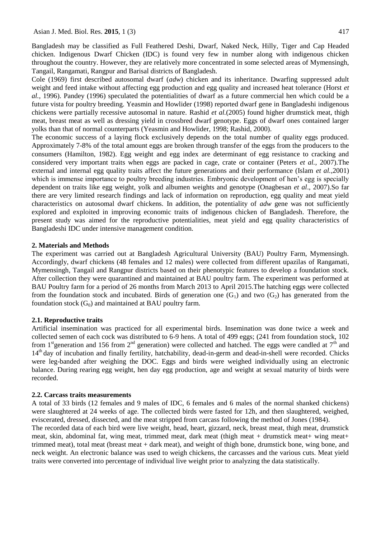Bangladesh may be classified as Full Feathered Deshi, Dwarf, Naked Neck, Hilly, Tiger and Cap Headed chicken. Indigenous Dwarf Chicken (IDC) is found very few in number along with indigenous chicken throughout the country. However, they are relatively more concentrated in some selected areas of Mymensingh, Tangail, Rangamati, Rangpur and Barisal districts of Bangladesh.

Cole (1969) first described autosomal dwarf (*adw*) chicken and its inheritance. Dwarfing suppressed adult weight and feed intake without affecting egg production and egg quality and increased heat tolerance (Horst *et al.,* 1996). Pandey (1996) speculated the potentialities of dwarf as a future commercial hen which could be a future vista for poultry breeding. Yeasmin and Howlider (1998) reported dwarf gene in Bangladeshi indigenous chickens were partially recessive autosomal in nature. Rashid *et al.*(2005) found higher drumstick meat, thigh meat, breast meat as well as dressing yield in crossbred dwarf genotype. Eggs of dwarf ones contained larger yolks than that of normal counterparts (Yeasmin and Howlider, 1998; Rashid, 2000).

The economic success of a laying flock exclusively depends on the total number of quality eggs produced. Approximately 7-8% of the total amount eggs are broken through transfer of the eggs from the producers to the consumers (Hamilton, 1982). Egg weight and egg index are determinant of egg resistance to cracking and considered very important traits when eggs are packed in cage, crate or container (Peters *et al.,* 2007).The external and internal egg quality traits affect the future generations and their performance (Islam *et al.,*2001) which is immense importance to poultry breeding industries. Embryonic development of hen's egg is specially dependent on traits like egg weight, yolk and albumen weights and genotype (Onagbesan *et al*., 2007).So far there are very limited research findings and lack of information on reproduction, egg quality and meat yield characteristics on autosomal dwarf chickens. In addition, the potentiality of *adw* gene was not sufficiently explored and exploited in improving economic traits of indigenous chicken of Bangladesh. Therefore, the present study was aimed for the reproductive potentialities, meat yield and egg quality characteristics of Bangladeshi IDC under intensive management condition.

## **2. Materials and Methods**

The experiment was carried out at Bangladesh Agricultural University (BAU) Poultry Farm, Mymensingh. Accordingly, dwarf chickens (48 females and 12 males) were collected from different upazilas of Rangamati, Mymensingh, Tangail and Rangpur districts based on their phenotypic features to develop a foundation stock. After collection they were quarantined and maintained at BAU poultry farm. The experiment was performed at BAU Poultry farm for a period of 26 months from March 2013 to April 2015.The hatching eggs were collected from the foundation stock and incubated. Birds of generation one  $(G_1)$  and two  $(G_2)$  has generated from the foundation stock  $(G_0)$  and maintained at BAU poultry farm.

## **2.1. Reproductive traits**

Artificial insemination was practiced for all experimental birds. Insemination was done twice a week and collected semen of each cock was distributed to 6-9 hens. A total of 499 eggs; (241 from foundation stock, 102 from 1<sup>st</sup>generation and 156 from 2<sup>nd</sup> generation) were collected and hatched. The eggs were candled at  $7<sup>th</sup>$  and 14<sup>th</sup> day of incubation and finally fertility, hatchability, dead-in-germ and dead-in-shell were recorded. Chicks were leg-banded after weighing the DOC. Eggs and birds were weighed individually using an electronic balance. During rearing egg weight, hen day egg production, age and weight at sexual maturity of birds were recorded.

#### **2.2. Carcass traits measurements**

A total of 33 birds (12 females and 9 males of IDC, 6 females and 6 males of the normal shanked chickens) were slaughtered at 24 weeks of age. The collected birds were fasted for 12h, and then slaughtered, weighed, eviscerated, dressed, dissected, and the meat stripped from carcass following the method of Jones (1984). The recorded data of each bird were live weight, head, heart, gizzard, neck, breast meat, thigh meat, drumstick meat, skin, abdominal fat, wing meat, trimmed meat, dark meat (thigh meat + drumstick meat+ wing meat+ trimmed meat), total meat (breast meat + dark meat), and weight of thigh bone, drumstick bone, wing bone, and

neck weight. An electronic balance was used to weigh chickens, the carcasses and the various cuts. Meat yield traits were converted into percentage of individual live weight prior to analyzing the data statistically.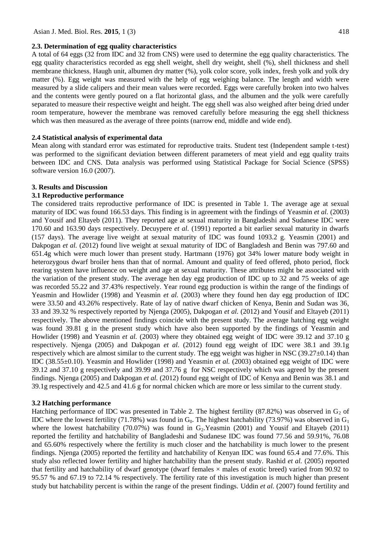#### **2.3. Determination of egg quality characteristics**

A total of 64 eggs (32 from IDC and 32 from CNS) were used to determine the egg quality characteristics. The egg quality characteristics recorded as egg shell weight, shell dry weight, shell (%), shell thickness and shell membrane thickness, Haugh unit, albumen dry matter (%), yolk color score, yolk index, fresh yolk and yolk dry matter (%). Egg weight was measured with the help of egg weighing balance. The length and width were measured by a slide calipers and their mean values were recorded. Eggs were carefully broken into two halves and the contents were gently poured on a flat horizontal glass, and the albumen and the yolk were carefully separated to measure their respective weight and height. The egg shell was also weighed after being dried under room temperature, however the membrane was removed carefully before measuring the egg shell thickness which was then measured as the average of three points (narrow end, middle and wide end).

#### **2.4 Statistical analysis of experimental data**

Mean along with standard error was estimated for reproductive traits. Student test (Independent sample t-test) was performed to the significant deviation between different parameters of meat yield and egg quality traits between IDC and CNS. Data analysis was performed using Statistical Package for Social Science (SPSS) software version 16.0 (2007).

#### **3. Results and Discussion**

## **3.1 Reproductive performance**

The considered traits reproductive performance of IDC is presented in Table 1. The average age at sexual maturity of IDC was found 166.53 days. This finding is in agreement with the findings of Yeasmin *et al.* (2003) and Yousif and Eltayeb (2011). They reported age at sexual maturity in Bangladeshi and Sudanese IDC were 170.60 and 163.90 days respectively. Decuypere *et al.* (1991) reported a bit earlier sexual maturity in dwarfs (157 days). The average live weight at sexual maturity of IDC was found 1093.2 g. Yeasmin (2001) and Dakpogan *et al.* (2012) found live weight at sexual maturity of IDC of Bangladesh and Benin was 797.60 and 651.4g which were much lower than present study. Hartmann (1976) got 34% lower mature body weight in heterozygous dwarf broiler hens than that of normal. Amount and quality of feed offered, photo period, flock rearing system have influence on weight and age at sexual maturity. These attributes might be associated with the variation of the present study. The average hen day egg production of IDC up to 32 and 75 weeks of age was recorded 55.22 and 37.43% respectively. Year round egg production is within the range of the findings of Yeasmin and Howlider (1998) and Yeasmin *et al.* (2003) where they found hen day egg production of IDC were 33.50 and 43.26% respectively. Rate of lay of native dwarf chicken of Kenya, Benin and Sudan was 36, 33 and 39.32 % respectively reported by Njenga (2005), Dakpogan *et al.* (2012) and Yousif and Eltayeb (2011) respectively. The above mentioned findings coincide with the present study. The average hatching egg weight was found 39.81 g in the present study which have also been supported by the findings of Yeasmin and Howlider (1998) and Yeasmin *et al.* (2003) where they obtained egg weight of IDC were 39.12 and 37.10 g respectively. Njenga (2005) and Dakpogan *et al.* (2012) found egg weight of IDC were 38.1 and 39.1g respectively which are almost similar to the current study. The egg weight was higher in NSC  $(39.27 \pm 0.14)$  than IDC (38.55±0.10). Yeasmin and Howlider (1998) and Yeasmin *et al.* (2003) obtained egg weight of IDC were 39.12 and 37.10 g respectively and 39.99 and 37.76 g for NSC respectively which was agreed by the present findings. Njenga (2005) and Dakpogan *et al.* (2012) found egg weight of IDC of Kenya and Benin was 38.1 and 39.1g respectively and 42.5 and 41.6 g for normal chicken which are more or less similar to the current study.

## **3.2 Hatching performance**

Hatching performance of IDC was presented in Table 2. The highest fertility (87.82%) was observed in  $G_2$  of IDC where the lowest fertility (71.78%) was found in  $G_0$ . The highest hatchability (73.97%) was observed in  $G_1$ where the lowest hatchability (70.07%) was found in  $G_2$ . Yeasmin (2001) and Yousif and Eltayeb (2011) reported the fertility and hatchability of Bangladeshi and Sudanese IDC was found 77.56 and 59.91%, 76.08 and 65.60% respectively where the fertility is much closer and the hatchability is much lower to the present findings. Njenga (2005) reported the fertility and hatchability of Kenyan IDC was found 65.4 and 77.6%. This study also reflected lower fertility and higher hatchability than the present study. Rashid *et al.* (2005) reported that fertility and hatchability of dwarf genotype (dwarf females  $\times$  males of exotic breed) varied from 90.92 to 95.57 % and 67.19 to 72.14 % respectively. The fertility rate of this investigation is much higher than present study but hatchability percent is within the range of the present findings. Uddin *et al.* (2007) found fertility and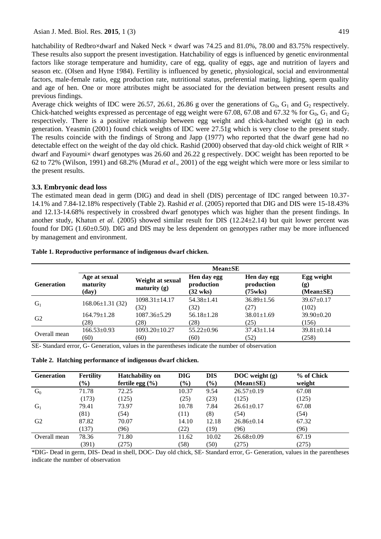hatchability of Redbro×dwarf and Naked Neck × dwarf was 74.25 and 81.0%, 78.00 and 83.75% respectively. These results also support the present investigation. Hatchability of eggs is influenced by genetic environmental factors like storage temperature and humidity, care of egg, quality of eggs, age and nutrition of layers and season etc. (Olsen and Hyne 1984). Fertility is influenced by genetic, physiological, social and environmental factors, male-female ratio, egg production rate, nutritional status, preferential mating, lighting, sperm quality and age of hen. One or more attributes might be associated for the deviation between present results and previous findings.

Average chick weights of IDC were 26.57, 26.61, 26.86 g over the generations of  $G_0$ ,  $G_1$  and  $G_2$  respectively. Chick-hatched weights expressed as percentage of egg weight were 67.08, 67.08 and 67.32 % for  $G_0$ ,  $G_1$  and  $G_2$ respectively. There is a positive relationship between egg weight and chick-hatched weight (g) in each generation. Yeasmin (2001) found chick weights of IDC were 27.51g which is very close to the present study. The results coincide with the findings of Strong and Japp (1977) who reported that the dwarf gene had no detectable effect on the weight of the day old chick. Rashid (2000) observed that day-old chick weight of RIR  $\times$ dwarf and Fayoumi× dwarf genotypes was 26.60 and 26.22 g respectively. DOC weight has been reported to be 62 to 72% (Wilson, 1991) and 68.2% (Murad *et al*., 2001) of the egg weight which were more or less similar to the present results.

## **3.3. Embryonic dead loss**

The estimated mean dead in germ (DIG) and dead in shell (DIS) percentage of IDC ranged between 10.37- 14.1% and 7.84-12.18% respectively (Table 2). Rashid *et al*. (2005) reported that DIG and DIS were 15-18.43% and 12.13-14.68% respectively in crossbred dwarf genotypes which was higher than the present findings. In another study, Khatun *et al.* (2005) showed similar result for DIS (12.24±2.14) but quit lower percent was found for DIG (1.60±0.50). DIG and DIS may be less dependent on genotypes rather may be more influenced by management and environment.

|                   |                                    | $Mean \pm SE$                      |                                                 |                                      |                                      |
|-------------------|------------------------------------|------------------------------------|-------------------------------------------------|--------------------------------------|--------------------------------------|
| <b>Generation</b> | Age at sexual<br>maturity<br>(day) | Weight at sexual<br>maturity $(g)$ | Hen day egg<br>production<br>$(32 \text{ wks})$ | Hen day egg<br>production<br>(75wks) | Egg weight<br>(g)<br>$(Mean \pm SE)$ |
| G <sub>1</sub>    | $168.06 \pm 1.31(32)$              | $1098.31 \pm 14.17$                | $54.38 \pm 1.41$                                | $36.89 \pm 1.56$                     | $39.67 \pm 0.17$                     |
|                   |                                    | (32)                               | (32)                                            | (27)                                 | (102)                                |
| G <sub>2</sub>    | $164.79 \pm 1.28$                  | $1087.36 \pm 5.29$                 | $56.18 \pm 1.28$                                | $38.01 \pm 1.69$                     | $39.90 \pm 0.20$                     |
|                   | (28)                               | 28)                                | (28)                                            | (25)                                 | (156)                                |
| Overall mean      | $166.53 \pm 0.93$                  | $1093.20 \pm 10.27$                | $55.22 \pm 0.96$                                | $37.43 \pm 1.14$                     | $39.81 \pm 0.14$                     |
|                   | (60)                               | (60)                               | (60)                                            | (52)                                 | (258)                                |

# **Table 1. Reproductive performance of indigenous dwarf chicken.**

SE- Standard error, G- Generation, values in the parentheses indicate the number of observation

**Table 2. Hatching performance of indigenous dwarf chicken.**

| <b>Generation</b> | <b>Fertility</b><br>$\frac{1}{2}$ | <b>Hatchability on</b><br>fertile egg $(\% )$ | <b>DIG</b><br>(9/0) | <b>DIS</b><br>$(\%)$ | DOC weight $(g)$<br>(Mean±SE) | % of Chick<br>weight |  |
|-------------------|-----------------------------------|-----------------------------------------------|---------------------|----------------------|-------------------------------|----------------------|--|
| $G_0$             | 71.78                             | 72.25                                         | 10.37               | 9.54                 | $26.57 \pm 0.19$              | 67.08                |  |
|                   | (173)                             | (125)                                         | (25)                | (23)                 | (125)                         | (125)                |  |
| $G_1$             | 79.41                             | 73.97                                         | 10.78               | 7.84                 | $26.61 \pm 0.17$              | 67.08                |  |
|                   | (81)                              | (54)                                          | (11)                | (8)                  | (54)                          | (54)                 |  |
| G <sub>2</sub>    | 87.82                             | 70.07                                         | 14.10               | 12.18                | $26.86 \pm 0.14$              | 67.32                |  |
|                   | (137)                             | (96)                                          | (22)                | (19)                 | (96)                          | (96)                 |  |
| Overall mean      | 78.36                             | 71.80                                         | 11.62               | 10.02                | $26.68 \pm 0.09$              | 67.19                |  |
|                   | (391)                             | (275)                                         | (58)                | (50)                 | (275)                         | (275)                |  |

\*DIG- Dead in germ, DIS- Dead in shell, DOC- Day old chick, SE- Standard error, G- Generation, values in the parentheses indicate the number of observation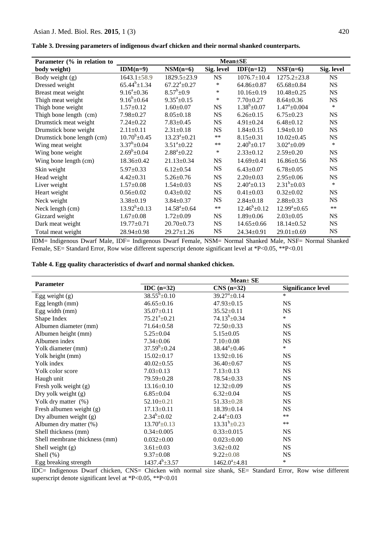| Parameter (% in relation to | <b>Mean</b> ±SE      |                             |             |                    |                             |            |
|-----------------------------|----------------------|-----------------------------|-------------|--------------------|-----------------------------|------------|
| body weight)                | $IDM(n=9)$           | $NSM(n=6)$                  | Sig. level  | $IDF(n=12)$        | $NSF(n=6)$                  | Sig. level |
| Body weight (g)             | $1643.1 \pm 58.9$    | 1829.5±23.9                 | <b>NS</b>   | $1076.7 \pm 10.4$  | $1275.2 \pm 23.8$           | <b>NS</b>  |
| Dressed weight              | $65.44^{b} \pm 1.34$ | $67.22^a \pm 0.27$          | ∗           | $64.86 \pm 0.87$   | $65.68 \pm 0.84$            | <b>NS</b>  |
| Breast meat weight          | $9.16^a \pm 0.36$    | $8.57^b \pm 0.9$            | $\ast$      | $10.16 \pm 0.19$   | $10.48 \pm 0.25$            | <b>NS</b>  |
| Thigh meat weight           | $9.16^b \pm 0.64$    | $9.35^a \pm 0.15$           | *           | $7.70 \pm 0.27$    | $8.64 \pm 0.36$             | <b>NS</b>  |
| Thigh bone weight           | $1.57 \pm 0.12$      | $1.60 \pm 0.07$             | <b>NS</b>   | $1.38^b \pm 0.07$  | $1.47^{\mathrm{a}}\pm0.004$ | $\ast$     |
| Thigh bone length (cm)      | $7.98 \pm 0.27$      | $8.05 \pm 0.18$             | <b>NS</b>   | $6.26 \pm 0.15$    | $6.75 \pm 0.23$             | <b>NS</b>  |
| Drumstick meat weight       | $7.24 \pm 0.22$      | $7.83 \pm 0.45$             | <b>NS</b>   | $4.91 \pm 0.24$    | $6.48 \pm 0.12$             | <b>NS</b>  |
| Drumstick bone weight       | $2.11 \pm 0.11$      | $2.31 \pm 0.18$             | <b>NS</b>   | $1.84 \pm 0.15$    | $1.94 \pm 0.10$             | <b>NS</b>  |
| Drumstick bone length (cm)  | $10.70^b \pm 0.45$   | $13.23^a \pm 0.21$          | $***$       | $8.15 \pm 0.31$    | $10.02 \pm 0.45$            | <b>NS</b>  |
| Wing meat weight            | $3.37^b \pm 0.04$    | $3.51^a \pm 0.22$           | $**$        | $2.40^b \pm 0.17$  | $3.02^a \pm 0.09$           | $\ast$     |
| Wing bone weight            | $2.69^b \pm 0.04$    | $2.88^a \pm 0.22$           | ∗           | $2.33 \pm 0.12$    | $2.59 \pm 0.20$             | <b>NS</b>  |
| Wing bone length (cm)       | 18.36±0.42           | $21.13 \pm 0.34$            | $_{\rm NS}$ | $14.69 \pm 0.41$   | $16.86 \pm 0.56$            | <b>NS</b>  |
| Skin weight                 | $5.97 \pm 0.33$      | $6.12 \pm 0.54$             | <b>NS</b>   | $6.43 \pm 0.07$    | $6.78 \pm 0.05$             | <b>NS</b>  |
| Head weight                 | $4.42 \pm 0.31$      | $5.26 \pm 0.76$             | <b>NS</b>   | $2.20 \pm 0.03$    | $2.95 \pm 0.06$             | <b>NS</b>  |
| Liver weight                | $1.57 \pm 0.08$      | $1.54 \pm 0.03$             | <b>NS</b>   | $2.40^a \pm 0.13$  | $2.31^b \pm 0.03$           | $\ast$     |
| Heart weight                | $0.56 \pm 0.02$      | $0.43 \pm 0.02$             | <b>NS</b>   | $0.41 \pm 0.03$    | $0.32 \pm 0.02$             | <b>NS</b>  |
| Neck weight                 | $3.38 \pm 0.19$      | $3.84 \pm 0.37$             | <b>NS</b>   | $2.84 \pm 0.18$    | $2.88 \pm 0.33$             | <b>NS</b>  |
| Neck length (cm)            | $13.92^b \pm 0.13$   | $14.58^{\mathrm{a}}\pm0.64$ | $\ast\ast$  | $12.46^b \pm 0.12$ | $12.99^a \pm 0.65$          | $**$       |
| Gizzard weight              | $1.67 \pm 0.08$      | $1.72 \pm 0.09$             | <b>NS</b>   | $1.89 \pm 0.06$    | $2.03 \pm 0.05$             | <b>NS</b>  |
| Dark meat weight            | $19.77 \pm 0.71$     | $20.70 \pm 0.73$            | <b>NS</b>   | $14.65 \pm 0.66$   | $18.14 \pm 0.52$            | <b>NS</b>  |
| Total meat weight           | $28.94 \pm 0.98$     | $29.27 \pm 1.26$            | $_{\rm NS}$ | $24.34 \pm 0.91$   | $29.01 \pm 0.69$            | <b>NS</b>  |

**Table 3. Dressing parameters of indigenous dwarf chicken and their normal shanked counterparts.**

IDM= Indigenous Dwarf Male, IDF= Indigenous Dwarf Female, NSM= Normal Shanked Male, NSF= Normal Shanked Female, SE= Standard Error, Row wise different superscript denote significant level at \*P<0.05, \*\*P<0.01

|  |  | Table 4. Egg quality characteristics of dwarf and normal shanked chicken. |
|--|--|---------------------------------------------------------------------------|
|  |  |                                                                           |

|                               | $Mean \pm SE$       |                             |                           |  |  |  |
|-------------------------------|---------------------|-----------------------------|---------------------------|--|--|--|
| <b>Parameter</b>              | IDC $(n=32)$        | $CNS$ (n=32)                | <b>Significance level</b> |  |  |  |
| Egg weight $(g)$              | $38.55^b \pm 0.10$  | $39.27^{\mathrm{a}}\pm0.14$ | *                         |  |  |  |
| Egg length $(mm)$             | $46.65 \pm 0.16$    | $47.93 \pm 0.15$            | <b>NS</b>                 |  |  |  |
| Egg width (mm)                | 35.07±0.11          | $35.52 \pm 0.11$            | <b>NS</b>                 |  |  |  |
| Shape Index                   | $75.21^a \pm 0.21$  | $74.13^b \pm 0.34$          | $\ast$                    |  |  |  |
| Albumen diameter (mm)         | $71.64 \pm 0.58$    | 72.50±0.33                  | <b>NS</b>                 |  |  |  |
| Albumen height (mm)           | $5.25 \pm 0.04$     | $5.15 \pm 0.05$             | <b>NS</b>                 |  |  |  |
| Albumen index                 | $7.34 \pm 0.06$     | $7.10 \pm 0.08$             | <b>NS</b>                 |  |  |  |
| Yolk diameter (mm)            | $37.59^b \pm 0.24$  | $38.44^a \pm 0.46$          | $\ast$                    |  |  |  |
| Yolk height (mm)              | $15.02 \pm 0.17$    | $13.92 \pm 0.16$            | <b>NS</b>                 |  |  |  |
| Yolk index                    | $40.02 \pm 0.55$    | $36.40 \pm 0.67$            | <b>NS</b>                 |  |  |  |
| Yolk color score              | $7.03 \pm 0.13$     | $7.13 \pm 0.13$             | <b>NS</b>                 |  |  |  |
| Haugh unit                    | 79.59±0.28          | $78.54 \pm 0.33$            | <b>NS</b>                 |  |  |  |
| Fresh yolk weight (g)         | $13.16 \pm 0.10$    | $12.32 \pm 0.09$            | <b>NS</b>                 |  |  |  |
| Dry yolk weight (g)           | $6.85 \pm 0.04$     | $6.32 \pm 0.04$             | <b>NS</b>                 |  |  |  |
| Yolk dry matter (%)           | $52.10 \pm 0.21$    | $51.33 \pm 0.28$            | <b>NS</b>                 |  |  |  |
| Fresh albumen weight (g)      | $17.13 \pm 0.11$    | 18.39±0.14                  | <b>NS</b>                 |  |  |  |
| Dry albumen weight $(g)$      | $2.34^b \pm 0.02$   | $2.44^a \pm 0.03$           | $**$                      |  |  |  |
| Albumen dry matter (%)        | $13.70^a \pm 0.13$  | $13.31^b \pm 0.23$          | $**$                      |  |  |  |
| Shell thickness (mm)          | $0.34 \pm 0.005$    | $0.33 \pm 0.015$            | <b>NS</b>                 |  |  |  |
| Shell membrane thickness (mm) | $0.032 \pm 0.00$    | $0.023 \pm 0.00$            | <b>NS</b>                 |  |  |  |
| Shell weight (g)              | $3.61 \pm 0.03$     | $3.62 \pm 0.02$             | <b>NS</b>                 |  |  |  |
| Shell $(\%)$                  | $9.37 \pm 0.08$     | $9.22 \pm 0.08$             | <b>NS</b>                 |  |  |  |
| Egg breaking strength         | $1437.4^b \pm 3.57$ | $1462.0^a \pm 4.81$         | $\ast$                    |  |  |  |

IDC= Indigenous Dwarf chicken, CNS= Chicken with normal size shank, SE= Standard Error, Row wise different superscript denote significant level at \*P<0.05, \*\*P<0.01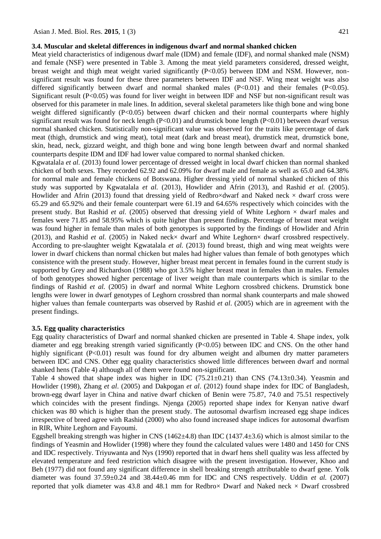#### **3.4. Muscular and skeletal differences in indigenous dwarf and normal shanked chicken**

Meat yield characteristics of indigenous dwarf male (IDM) and female (IDF), and normal shanked male (NSM) and female (NSF) were presented in Table 3. Among the meat yield parameters considered, dressed weight, breast weight and thigh meat weight varied significantly  $(P<0.05)$  between IDM and NSM. However, nonsignificant result was found for these three parameters between IDF and NSF. Wing meat weight was also differed significantly between dwarf and normal shanked males  $(P<0.01)$  and their females  $(P<0.05)$ . Significant result (P<0.05) was found for liver weight in between IDF and NSF but non-significant result was observed for this parameter in male lines. In addition, several skeletal parameters like thigh bone and wing bone weight differed significantly (P<0.05) between dwarf chicken and their normal counterparts where highly significant result was found for neck length  $(P<0.01)$  and drumstick bone length  $(P<0.01)$  between dwarf versus normal shanked chicken. Statistically non-significant value was observed for the traits like percentage of dark meat (thigh, drumstick and wing meat), total meat (dark and breast meat), drumstick meat, drumstick bone, skin, head, neck, gizzard weight, and thigh bone and wing bone length between dwarf and normal shanked counterparts despite IDM and IDF had lower value compared to normal shanked chicken.

Kgwatalala *et al.* (2013) found lower percentage of dressed weight in local dwarf chicken than normal shanked chicken of both sexes. They recorded 62.92 and 62.09% for dwarf male and female as well as 65.0 and 64.38% for normal male and female chickens of Botswana. Higher dressing yield of normal shanked chicken of this study was supported by Kgwatalala *et al.* (2013), Howlider and Afrin (2013), and Rashid *et al.* (2005). Howlider and Afrin (2013) found that dressing yield of Redbro×dwarf and Naked neck  $\times$  dwarf cross were 65.29 and 65.92% and their female counterpart were 61.19 and 64.65% respectively which coincides with the present study. But Rashid *et al.* (2005) observed that dressing yield of White Leghorn  $\times$  dwarf males and females were 71.85 and 58.95% which is quite higher than present findings. Percentage of breast meat weight was found higher in female than males of both genotypes is supported by the findings of Howlider and Afrin (2013), and Rashid *et al.* (2005) in Naked neck× dwarf and White Leghorn× dwarf crossbred respectively. According to pre-slaughter weight Kgwatalala *et al.* (2013) found breast, thigh and wing meat weights were lower in dwarf chickens than normal chicken but males had higher values than female of both genotypes which consistence with the present study. However, higher breast meat percent in females found in the current study is supported by Grey and Richardson (1988) who got 3.5% higher breast meat in females than in males. Females of both genotypes showed higher percentage of liver weight than male counterparts which is similar to the findings of Rashid *et al.* (2005) in dwarf and normal White Leghorn crossbred chickens. Drumstick bone lengths were lower in dwarf genotypes of Leghorn crossbred than normal shank counterparts and male showed higher values than female counterparts was observed by Rashid *et al*. (2005) which are in agreement with the present findings.

#### **3.5. Egg quality characteristics**

Egg quality characteristics of Dwarf and normal shanked chicken are presented in Table 4. Shape index, yolk diameter and egg breaking strength varied significantly (P<0.05) between IDC and CNS. On the other hand highly significant (P<0.01) result was found for dry albumen weight and albumen dry matter parameters between IDC and CNS. Other egg quality characteristics showed little differences between dwarf and normal shanked hens (Table 4) although all of them were found non-significant.

Table 4 showed that shape index was higher in IDC  $(75.21 \pm 0.21)$  than CNS  $(74.13 \pm 0.34)$ . Yeasmin and Howlider (1998), Zhang *et al*. (2005) and Dakpogan *et al*. (2012) found shape index for IDC of Bangladesh, brown-egg dwarf layer in China and native dwarf chicken of Benin were 75.87, 74.0 and 75.51 respectively which coincides with the present findings. Njenga (2005) reported shape index for Kenyan native dwarf chicken was 80 which is higher than the present study. The autosomal dwarfism increased egg shape indices irrespective of breed agree with Rashid (2000) who also found increased shape indices for autosomal dwarfism in RIR, White Leghorn and Fayoumi.

Eggshell breaking strength was higher in CNS (1462±4.8) than IDC (1437.4±3.6) which is almost similar to the findings of Yeasmin and Howlider (1998) where they found the calculated values were 1480 and 1450 for CNS and IDC respectively. Triyuwanta and Nys (1990) reported that in dwarf hens shell quality was less affected by elevated temperature and feed restriction which disagree with the present investigation. However, Khoo and Beh (1977) did not found any significant difference in shell breaking strength attributable to dwarf gene. Yolk diameter was found 37.59±0.24 and 38.44±0.46 mm for IDC and CNS respectively. Uddin *et al.* (2007) reported that yolk diameter was 43.8 and 48.1 mm for Redbro $\times$  Dwarf and Naked neck  $\times$  Dwarf crossbred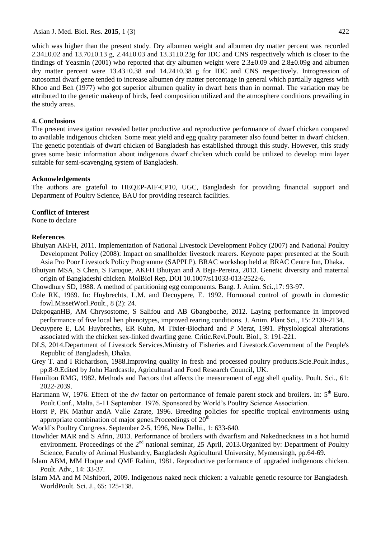which was higher than the present study. Dry albumen weight and albumen dry matter percent was recorded  $2.34\pm0.02$  and  $13.70\pm0.13$  g,  $2.44\pm0.03$  and  $13.31\pm0.23$ g for IDC and CNS respectively which is closer to the findings of Yeasmin (2001) who reported that dry albumen weight were  $2.3\pm0.09$  and  $2.8\pm0.09$  and albumen dry matter percent were 13.43±0.38 and 14.24±0.38 g for IDC and CNS respectively. Introgression of autosomal dwarf gene tended to increase albumen dry matter percentage in general which partially aggress with Khoo and Beh (1977) who got superior albumen quality in dwarf hens than in normal. The variation may be attributed to the genetic makeup of birds, feed composition utilized and the atmosphere conditions prevailing in the study areas.

# **4. Conclusions**

The present investigation revealed better productive and reproductive performance of dwarf chicken compared to available indigenous chicken. Some meat yield and egg quality parameter also found better in dwarf chicken. The genetic potentials of dwarf chicken of Bangladesh has established through this study. However, this study gives some basic information about indigenous dwarf chicken which could be utilized to develop mini layer suitable for semi-scavenging system of Bangladesh.

## **Acknowledgements**

The authors are grateful to HEQEP-AIF-CP10, UGC, Bangladesh for providing financial support and Department of Poultry Science, BAU for providing research facilities.

# **Conflict of Interest**

None to declare

# **References**

- Bhuiyan AKFH, 2011. Implementation of National Livestock Development Policy (2007) and National Poultry Development Policy (2008): Impact on smallholder livestock rearers. Keynote paper presented at the South Asia Pro Poor Livestock Policy Programme (SAPPLP). BRAC workshop held at BRAC Centre Inn, Dhaka.
- Bhuiyan MSA, S Chen, S Faruque, AKFH Bhuiyan and A Beja-Pereira, 2013. Genetic diversity and maternal origin of Bangladeshi chicken. MolBiol Rep, DOI 10.1007/s11033-013-2522-6.
- Chowdhury SD, 1988. A method of partitioning egg components. Bang. J. Anim. Sci.,17: 93-97.
- Cole RK, 1969. In: Huybrechts, L.M. and Decuypere, E. 1992. Hormonal control of growth in domestic fowl.MissetWorl.Poult., 8 (2): 24.
- DakpoganHB, AM Chrysostome, S Salifou and AB Gbangboche, 2012. Laying performance in improved performance of five local hen phenotypes, improved rearing conditions. J. Anim. Plant Sci., 15: 2130-2134.
- Decuypere E, LM Huybrechts, ER Kuhn, M Tixier-Biochard and P Merat, 1991. Physiological alterations associated with the chicken sex-linked dwarfing gene. Critic.Revi.Poult. Biol., 3: 191-221.
- DLS, 2014.Department of Livestock Services.Ministry of Fisheries and Livestock.Government of the People's Republic of Bangladesh, Dhaka.
- Grey T. and I Richardson, 1988.Improving quality in fresh and processed poultry products.Scie.Poult.Indus., pp.8-9.Edited by John Hardcastle, Agricultural and Food Research Council, UK.
- Hamilton RMG, 1982. Methods and Factors that affects the measurement of egg shell quality. Poult. Sci., 61: 2022-2039.
- Hartmann W, 1976. Effect of the *dw* factor on performance of female parent stock and broilers. In: 5<sup>th</sup> Euro. Poult.Conf., Malta, 5-11 September. 1976. Sponsored by World's Poultry Science Association.
- Horst P, PK Mathur andA Valle Zarate, 1996. Breeding policies for specific tropical environments using appropriate combination of major genes. Proceedings of  $20<sup>th</sup>$
- World`s Poultry Congress. September 2-5, 1996, New Delhi., 1: 633-640.
- Howlider MAR and S Afrin, 2013. Performance of broilers with dwarfism and Nakedneckness in a hot humid environment. Proceedings of the 2<sup>nd</sup> national seminar, 25 April, 2013.Organized by: Department of Poultry Science, Faculty of Animal Husbandry, Bangladesh Agricultural University, Mymensingh, pp.64-69.
- Islam ABM, MM Hoque and QMF Rahim, 1981. Reproductive performance of upgraded indigenous chicken. Poult. Adv., 14: 33-37.
- Islam MA and M Nishibori, 2009. Indigenous naked neck chicken: a valuable genetic resource for Bangladesh. WorldPoult. Sci. J.*,* 65: 125-138.